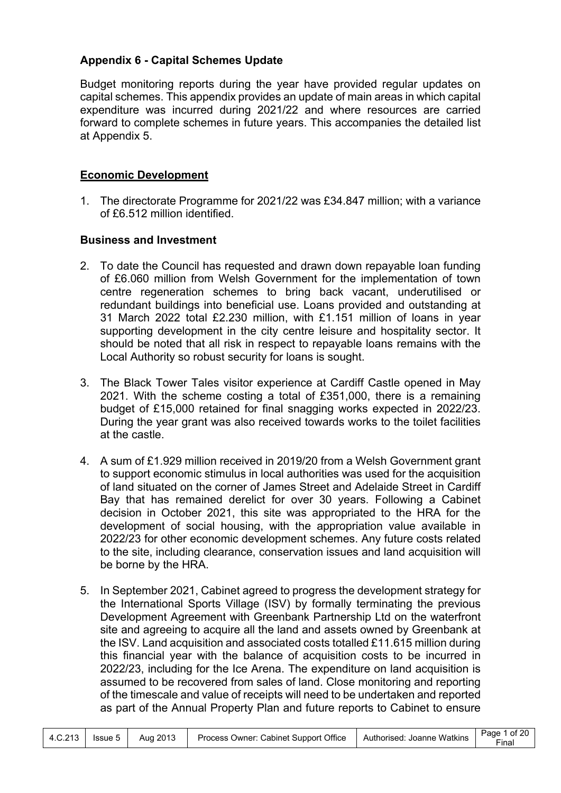# **Appendix 6 - Capital Schemes Update**

Budget monitoring reports during the year have provided regular updates on capital schemes. This appendix provides an update of main areas in which capital expenditure was incurred during 2021/22 and where resources are carried forward to complete schemes in future years. This accompanies the detailed list at Appendix 5.

# **Economic Development**

1. The directorate Programme for 2021/22 was £34.847 million; with a variance of £6.512 million identified.

### **Business and Investment**

- 2. To date the Council has requested and drawn down repayable loan funding of £6.060 million from Welsh Government for the implementation of town centre regeneration schemes to bring back vacant, underutilised or redundant buildings into beneficial use. Loans provided and outstanding at 31 March 2022 total £2.230 million, with £1.151 million of loans in year supporting development in the city centre leisure and hospitality sector. It should be noted that all risk in respect to repayable loans remains with the Local Authority so robust security for loans is sought.
- 3. The Black Tower Tales visitor experience at Cardiff Castle opened in May 2021. With the scheme costing a total of £351,000, there is a remaining budget of £15,000 retained for final snagging works expected in 2022/23. During the year grant was also received towards works to the toilet facilities at the castle.
- 4. A sum of £1.929 million received in 2019/20 from a Welsh Government grant to support economic stimulus in local authorities was used for the acquisition of land situated on the corner of James Street and Adelaide Street in Cardiff Bay that has remained derelict for over 30 years. Following a Cabinet decision in October 2021, this site was appropriated to the HRA for the development of social housing, with the appropriation value available in 2022/23 for other economic development schemes. Any future costs related to the site, including clearance, conservation issues and land acquisition will be borne by the HRA.
- 5. In September 2021, Cabinet agreed to progress the development strategy for the International Sports Village (ISV) by formally terminating the previous Development Agreement with Greenbank Partnership Ltd on the waterfront site and agreeing to acquire all the land and assets owned by Greenbank at the ISV. Land acquisition and associated costs totalled £11.615 million during this financial year with the balance of acquisition costs to be incurred in 2022/23, including for the Ice Arena. The expenditure on land acquisition is assumed to be recovered from sales of land. Close monitoring and reporting of the timescale and value of receipts will need to be undertaken and reported as part of the Annual Property Plan and future reports to Cabinet to ensure

|  | $4.C.213$   Issue 5 |  | Aug 2013   Process Owner: Cabinet Support Office   Authorised: Joanne Watkins |  | Page 1 of 20<br>Final |
|--|---------------------|--|-------------------------------------------------------------------------------|--|-----------------------|
|--|---------------------|--|-------------------------------------------------------------------------------|--|-----------------------|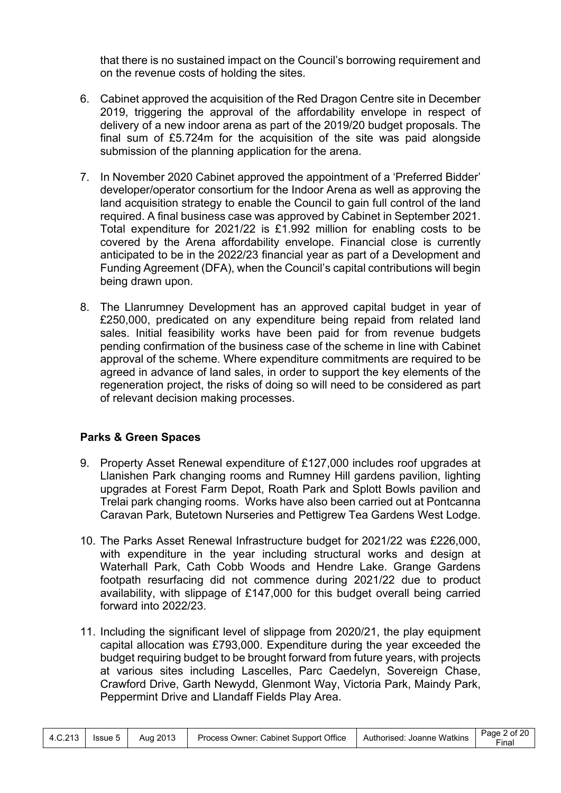that there is no sustained impact on the Council's borrowing requirement and on the revenue costs of holding the sites.

- 6. Cabinet approved the acquisition of the Red Dragon Centre site in December 2019, triggering the approval of the affordability envelope in respect of delivery of a new indoor arena as part of the 2019/20 budget proposals. The final sum of £5.724m for the acquisition of the site was paid alongside submission of the planning application for the arena.
- 7. In November 2020 Cabinet approved the appointment of a 'Preferred Bidder' developer/operator consortium for the Indoor Arena as well as approving the land acquisition strategy to enable the Council to gain full control of the land required. A final business case was approved by Cabinet in September 2021. Total expenditure for 2021/22 is £1.992 million for enabling costs to be covered by the Arena affordability envelope. Financial close is currently anticipated to be in the 2022/23 financial year as part of a Development and Funding Agreement (DFA), when the Council's capital contributions will begin being drawn upon.
- 8. The Llanrumney Development has an approved capital budget in year of £250,000, predicated on any expenditure being repaid from related land sales. Initial feasibility works have been paid for from revenue budgets pending confirmation of the business case of the scheme in line with Cabinet approval of the scheme. Where expenditure commitments are required to be agreed in advance of land sales, in order to support the key elements of the regeneration project, the risks of doing so will need to be considered as part of relevant decision making processes.

# **Parks & Green Spaces**

- 9. Property Asset Renewal expenditure of £127,000 includes roof upgrades at Llanishen Park changing rooms and Rumney Hill gardens pavilion, lighting upgrades at Forest Farm Depot, Roath Park and Splott Bowls pavilion and Trelai park changing rooms. Works have also been carried out at Pontcanna Caravan Park, Butetown Nurseries and Pettigrew Tea Gardens West Lodge.
- 10. The Parks Asset Renewal Infrastructure budget for 2021/22 was £226,000, with expenditure in the year including structural works and design at Waterhall Park, Cath Cobb Woods and Hendre Lake. Grange Gardens footpath resurfacing did not commence during 2021/22 due to product availability, with slippage of £147,000 for this budget overall being carried forward into 2022/23.
- 11. Including the significant level of slippage from 2020/21, the play equipment capital allocation was £793,000. Expenditure during the year exceeded the budget requiring budget to be brought forward from future years, with projects at various sites including Lascelles, Parc Caedelyn, Sovereign Chase, Crawford Drive, Garth Newydd, Glenmont Way, Victoria Park, Maindy Park, Peppermint Drive and Llandaff Fields Play Area.

|  |  |  | 4.C.213   Issue 5   Aug 2013   Process Owner: Cabinet Support Office   Authorised: Joanne Watkins |  | Page 2 of 20<br>Final |
|--|--|--|---------------------------------------------------------------------------------------------------|--|-----------------------|
|--|--|--|---------------------------------------------------------------------------------------------------|--|-----------------------|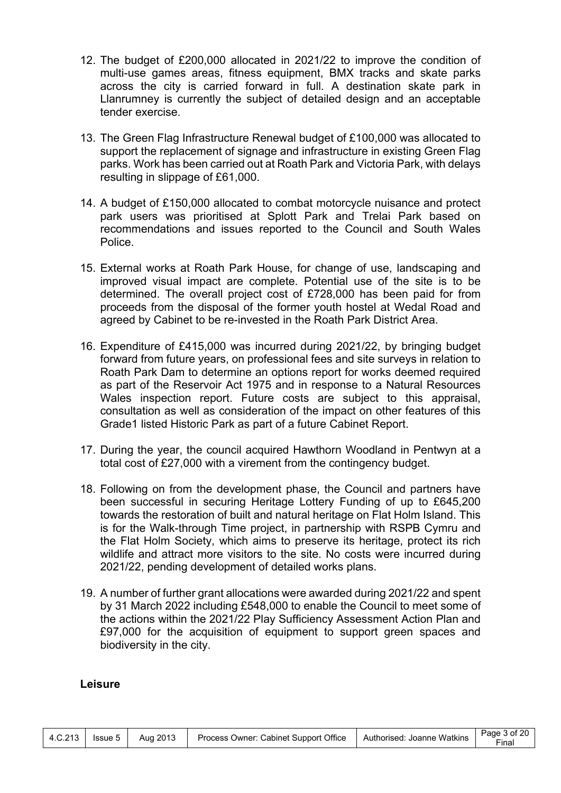- 12. The budget of £200,000 allocated in 2021/22 to improve the condition of multi-use games areas, fitness equipment, BMX tracks and skate parks across the city is carried forward in full. A destination skate park in Llanrumney is currently the subject of detailed design and an acceptable tender exercise.
- 13. The Green Flag Infrastructure Renewal budget of £100,000 was allocated to support the replacement of signage and infrastructure in existing Green Flag parks. Work has been carried out at Roath Park and Victoria Park, with delays resulting in slippage of £61,000.
- 14. A budget of £150,000 allocated to combat motorcycle nuisance and protect park users was prioritised at Splott Park and Trelai Park based on recommendations and issues reported to the Council and South Wales Police.
- 15. External works at Roath Park House, for change of use, landscaping and improved visual impact are complete. Potential use of the site is to be determined. The overall project cost of £728,000 has been paid for from proceeds from the disposal of the former youth hostel at Wedal Road and agreed by Cabinet to be re-invested in the Roath Park District Area.
- 16. Expenditure of £415,000 was incurred during 2021/22, by bringing budget forward from future years, on professional fees and site surveys in relation to Roath Park Dam to determine an options report for works deemed required as part of the Reservoir Act 1975 and in response to a Natural Resources Wales inspection report. Future costs are subject to this appraisal, consultation as well as consideration of the impact on other features of this Grade1 listed Historic Park as part of a future Cabinet Report.
- 17. During the year, the council acquired Hawthorn Woodland in Pentwyn at a total cost of £27,000 with a virement from the contingency budget.
- 18. Following on from the development phase, the Council and partners have been successful in securing Heritage Lottery Funding of up to £645,200 towards the restoration of built and natural heritage on Flat Holm Island. This is for the Walk-through Time project, in partnership with RSPB Cymru and the Flat Holm Society, which aims to preserve its heritage, protect its rich wildlife and attract more visitors to the site. No costs were incurred during 2021/22, pending development of detailed works plans.
- 19. A number of further grant allocations were awarded during 2021/22 and spent by 31 March 2022 including £548,000 to enable the Council to meet some of the actions within the 2021/22 Play Sufficiency Assessment Action Plan and £97,000 for the acquisition of equipment to support green spaces and biodiversity in the city.

#### **Leisure**

|  |  |  | 4.C.213 Issue 5 Aug 2013 Process Owner: Cabinet Support Office Authorised: Joanne Watkins $\begin{bmatrix} \text{Page 3 of 20} \\ \text{Line 4.0.213} \end{bmatrix}$ |  | Final |
|--|--|--|----------------------------------------------------------------------------------------------------------------------------------------------------------------------|--|-------|
|--|--|--|----------------------------------------------------------------------------------------------------------------------------------------------------------------------|--|-------|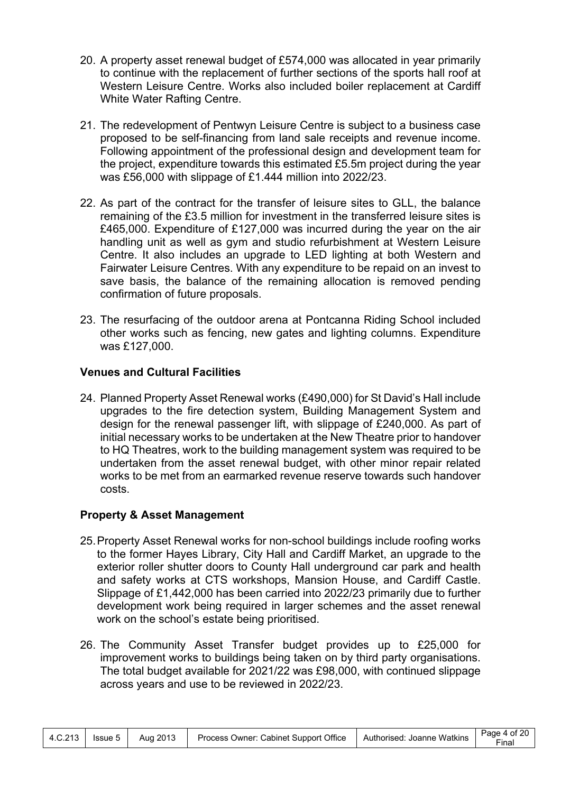- 20. A property asset renewal budget of £574,000 was allocated in year primarily to continue with the replacement of further sections of the sports hall roof at Western Leisure Centre. Works also included boiler replacement at Cardiff White Water Rafting Centre.
- 21. The redevelopment of Pentwyn Leisure Centre is subject to a business case proposed to be self-financing from land sale receipts and revenue income. Following appointment of the professional design and development team for the project, expenditure towards this estimated £5.5m project during the year was £56,000 with slippage of £1.444 million into 2022/23.
- 22. As part of the contract for the transfer of leisure sites to GLL, the balance remaining of the £3.5 million for investment in the transferred leisure sites is £465,000. Expenditure of £127,000 was incurred during the year on the air handling unit as well as gym and studio refurbishment at Western Leisure Centre. It also includes an upgrade to LED lighting at both Western and Fairwater Leisure Centres. With any expenditure to be repaid on an invest to save basis, the balance of the remaining allocation is removed pending confirmation of future proposals.
- 23. The resurfacing of the outdoor arena at Pontcanna Riding School included other works such as fencing, new gates and lighting columns. Expenditure was £127,000.

# **Venues and Cultural Facilities**

24. Planned Property Asset Renewal works (£490,000) for St David's Hall include upgrades to the fire detection system, Building Management System and design for the renewal passenger lift, with slippage of £240,000. As part of initial necessary works to be undertaken at the New Theatre prior to handover to HQ Theatres, work to the building management system was required to be undertaken from the asset renewal budget, with other minor repair related works to be met from an earmarked revenue reserve towards such handover costs.

# **Property & Asset Management**

- 25.Property Asset Renewal works for non-school buildings include roofing works to the former Hayes Library, City Hall and Cardiff Market, an upgrade to the exterior roller shutter doors to County Hall underground car park and health and safety works at CTS workshops, Mansion House, and Cardiff Castle. Slippage of £1,442,000 has been carried into 2022/23 primarily due to further development work being required in larger schemes and the asset renewal work on the school's estate being prioritised.
- 26. The Community Asset Transfer budget provides up to £25,000 for improvement works to buildings being taken on by third party organisations. The total budget available for 2021/22 was £98,000, with continued slippage across years and use to be reviewed in 2022/23.

| 4.C.213 | $l$ ssue 5 | Aug 2013 | Process Owner: Cabinet Support Office   Authorised: Joanne Watkins |  | Page 4 of 20<br>⊑inal |
|---------|------------|----------|--------------------------------------------------------------------|--|-----------------------|
|---------|------------|----------|--------------------------------------------------------------------|--|-----------------------|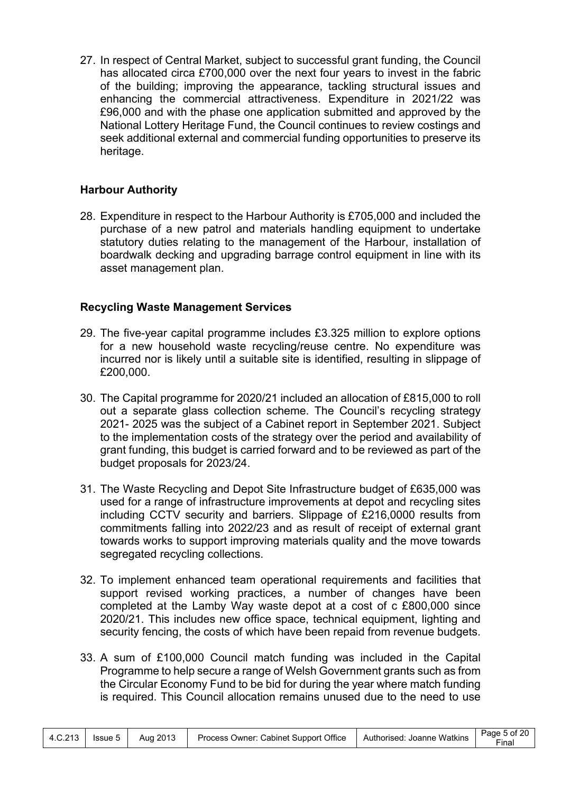27. In respect of Central Market, subject to successful grant funding, the Council has allocated circa £700,000 over the next four years to invest in the fabric of the building; improving the appearance, tackling structural issues and enhancing the commercial attractiveness. Expenditure in 2021/22 was £96,000 and with the phase one application submitted and approved by the National Lottery Heritage Fund, the Council continues to review costings and seek additional external and commercial funding opportunities to preserve its heritage.

# **Harbour Authority**

28. Expenditure in respect to the Harbour Authority is £705,000 and included the purchase of a new patrol and materials handling equipment to undertake statutory duties relating to the management of the Harbour, installation of boardwalk decking and upgrading barrage control equipment in line with its asset management plan.

# **Recycling Waste Management Services**

- 29. The five-year capital programme includes £3.325 million to explore options for a new household waste recycling/reuse centre. No expenditure was incurred nor is likely until a suitable site is identified, resulting in slippage of £200,000.
- 30. The Capital programme for 2020/21 included an allocation of £815,000 to roll out a separate glass collection scheme. The Council's recycling strategy 2021- 2025 was the subject of a Cabinet report in September 2021. Subject to the implementation costs of the strategy over the period and availability of grant funding, this budget is carried forward and to be reviewed as part of the budget proposals for 2023/24.
- 31. The Waste Recycling and Depot Site Infrastructure budget of £635,000 was used for a range of infrastructure improvements at depot and recycling sites including CCTV security and barriers. Slippage of £216,0000 results from commitments falling into 2022/23 and as result of receipt of external grant towards works to support improving materials quality and the move towards segregated recycling collections.
- 32. To implement enhanced team operational requirements and facilities that support revised working practices, a number of changes have been completed at the Lamby Way waste depot at a cost of c £800,000 since 2020/21. This includes new office space, technical equipment, lighting and security fencing, the costs of which have been repaid from revenue budgets.
- 33. A sum of £100,000 Council match funding was included in the Capital Programme to help secure a range of Welsh Government grants such as from the Circular Economy Fund to be bid for during the year where match funding is required. This Council allocation remains unused due to the need to use

|  | $4.C.213$ Issue 5 I |  | Aug 2013   Process Owner: Cabinet Support Office   Authorised: Joanne Watkins |  | Page 5 of 20<br>Final |
|--|---------------------|--|-------------------------------------------------------------------------------|--|-----------------------|
|--|---------------------|--|-------------------------------------------------------------------------------|--|-----------------------|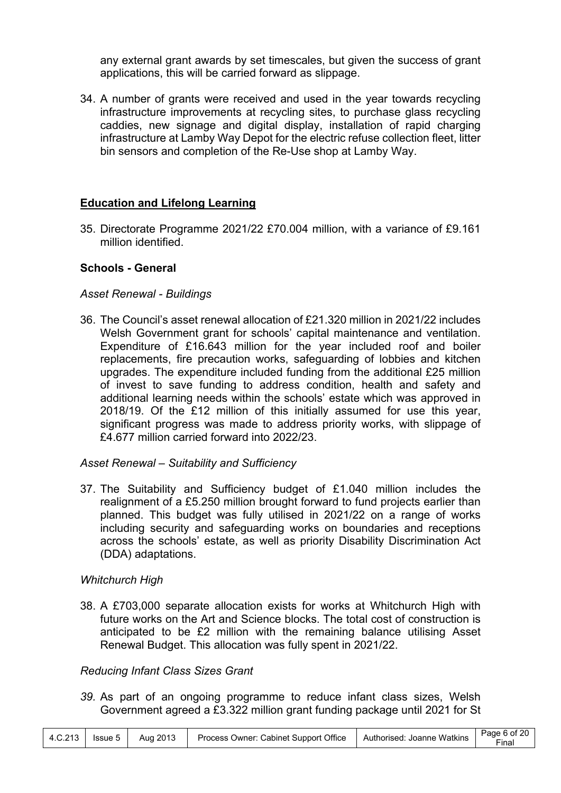any external grant awards by set timescales, but given the success of grant applications, this will be carried forward as slippage.

34. A number of grants were received and used in the year towards recycling infrastructure improvements at recycling sites, to purchase glass recycling caddies, new signage and digital display, installation of rapid charging infrastructure at Lamby Way Depot for the electric refuse collection fleet, litter bin sensors and completion of the Re-Use shop at Lamby Way.

### **Education and Lifelong Learning**

35. Directorate Programme 2021/22 £70.004 million, with a variance of £9.161 million identified.

### **Schools - General**

### *Asset Renewal - Buildings*

36. The Council's asset renewal allocation of £21.320 million in 2021/22 includes Welsh Government grant for schools' capital maintenance and ventilation. Expenditure of £16.643 million for the year included roof and boiler replacements, fire precaution works, safeguarding of lobbies and kitchen upgrades. The expenditure included funding from the additional £25 million of invest to save funding to address condition, health and safety and additional learning needs within the schools' estate which was approved in 2018/19. Of the £12 million of this initially assumed for use this year, significant progress was made to address priority works, with slippage of £4.677 million carried forward into 2022/23.

#### *Asset Renewal – Suitability and Sufficiency*

37. The Suitability and Sufficiency budget of £1.040 million includes the realignment of a £5.250 million brought forward to fund projects earlier than planned. This budget was fully utilised in 2021/22 on a range of works including security and safeguarding works on boundaries and receptions across the schools' estate, as well as priority Disability Discrimination Act (DDA) adaptations.

#### *Whitchurch High*

38. A £703,000 separate allocation exists for works at Whitchurch High with future works on the Art and Science blocks. The total cost of construction is anticipated to be £2 million with the remaining balance utilising Asset Renewal Budget. This allocation was fully spent in 2021/22.

#### *Reducing Infant Class Sizes Grant*

*39.* As part of an ongoing programme to reduce infant class sizes, Welsh Government agreed a £3.322 million grant funding package until 2021 for St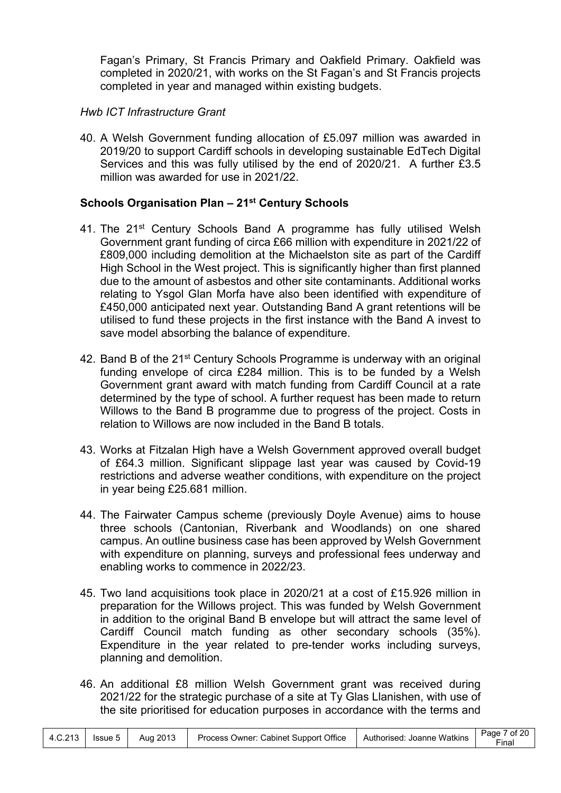Fagan's Primary, St Francis Primary and Oakfield Primary. Oakfield was completed in 2020/21, with works on the St Fagan's and St Francis projects completed in year and managed within existing budgets.

# *Hwb ICT Infrastructure Grant*

40. A Welsh Government funding allocation of £5.097 million was awarded in 2019/20 to support Cardiff schools in developing sustainable EdTech Digital Services and this was fully utilised by the end of 2020/21. A further £3.5 million was awarded for use in 2021/22.

# **Schools Organisation Plan – 21st Century Schools**

- 41. The 21<sup>st</sup> Century Schools Band A programme has fully utilised Welsh Government grant funding of circa £66 million with expenditure in 2021/22 of £809,000 including demolition at the Michaelston site as part of the Cardiff High School in the West project. This is significantly higher than first planned due to the amount of asbestos and other site contaminants. Additional works relating to Ysgol Glan Morfa have also been identified with expenditure of £450,000 anticipated next year. Outstanding Band A grant retentions will be utilised to fund these projects in the first instance with the Band A invest to save model absorbing the balance of expenditure.
- 42. Band B of the 21<sup>st</sup> Century Schools Programme is underway with an original funding envelope of circa £284 million. This is to be funded by a Welsh Government grant award with match funding from Cardiff Council at a rate determined by the type of school. A further request has been made to return Willows to the Band B programme due to progress of the project. Costs in relation to Willows are now included in the Band B totals.
- 43. Works at Fitzalan High have a Welsh Government approved overall budget of £64.3 million. Significant slippage last year was caused by Covid-19 restrictions and adverse weather conditions, with expenditure on the project in year being £25.681 million.
- 44. The Fairwater Campus scheme (previously Doyle Avenue) aims to house three schools (Cantonian, Riverbank and Woodlands) on one shared campus. An outline business case has been approved by Welsh Government with expenditure on planning, surveys and professional fees underway and enabling works to commence in 2022/23.
- 45. Two land acquisitions took place in 2020/21 at a cost of £15.926 million in preparation for the Willows project. This was funded by Welsh Government in addition to the original Band B envelope but will attract the same level of Cardiff Council match funding as other secondary schools (35%). Expenditure in the year related to pre-tender works including surveys, planning and demolition.
- 46. An additional £8 million Welsh Government grant was received during 2021/22 for the strategic purchase of a site at Ty Glas Llanishen, with use of the site prioritised for education purposes in accordance with the terms and

|  |  |  | 4.C.213   Issue 5   Aug 2013   Process Owner: Cabinet Support Office   Authorised: Joanne Watkins |  | Page 7 of 20<br>$\mathsf{Final}$ |
|--|--|--|---------------------------------------------------------------------------------------------------|--|----------------------------------|
|--|--|--|---------------------------------------------------------------------------------------------------|--|----------------------------------|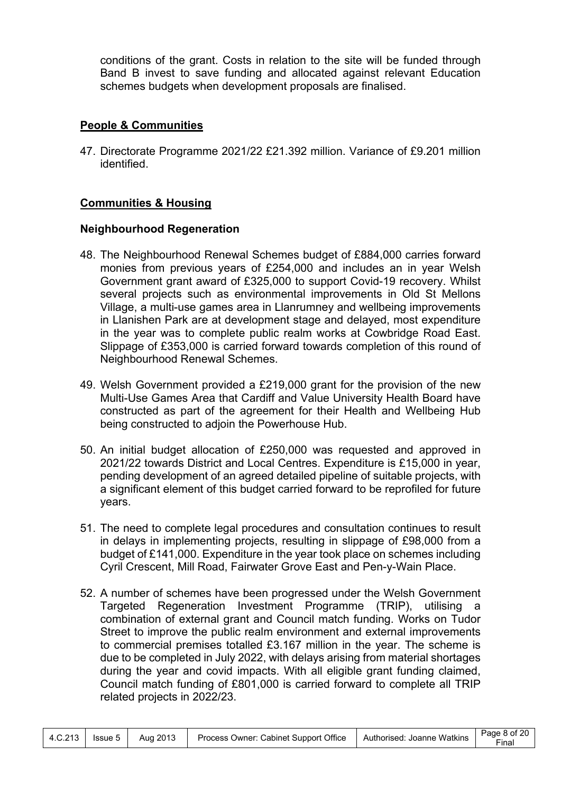conditions of the grant. Costs in relation to the site will be funded through Band B invest to save funding and allocated against relevant Education schemes budgets when development proposals are finalised.

### **People & Communities**

47. Directorate Programme 2021/22 £21.392 million. Variance of £9.201 million identified.

### **Communities & Housing**

### **Neighbourhood Regeneration**

- 48. The Neighbourhood Renewal Schemes budget of £884,000 carries forward monies from previous years of £254,000 and includes an in year Welsh Government grant award of £325,000 to support Covid-19 recovery. Whilst several projects such as environmental improvements in Old St Mellons Village, a multi-use games area in Llanrumney and wellbeing improvements in Llanishen Park are at development stage and delayed, most expenditure in the year was to complete public realm works at Cowbridge Road East. Slippage of £353,000 is carried forward towards completion of this round of Neighbourhood Renewal Schemes.
- 49. Welsh Government provided a £219,000 grant for the provision of the new Multi-Use Games Area that Cardiff and Value University Health Board have constructed as part of the agreement for their Health and Wellbeing Hub being constructed to adjoin the Powerhouse Hub.
- 50. An initial budget allocation of £250,000 was requested and approved in 2021/22 towards District and Local Centres. Expenditure is £15,000 in year, pending development of an agreed detailed pipeline of suitable projects, with a significant element of this budget carried forward to be reprofiled for future years.
- 51. The need to complete legal procedures and consultation continues to result in delays in implementing projects, resulting in slippage of £98,000 from a budget of £141,000. Expenditure in the year took place on schemes including Cyril Crescent, Mill Road, Fairwater Grove East and Pen-y-Wain Place.
- 52. A number of schemes have been progressed under the Welsh Government Targeted Regeneration Investment Programme (TRIP), utilising a combination of external grant and Council match funding. Works on Tudor Street to improve the public realm environment and external improvements to commercial premises totalled £3.167 million in the year. The scheme is due to be completed in July 2022, with delays arising from material shortages during the year and covid impacts. With all eligible grant funding claimed, Council match funding of £801,000 is carried forward to complete all TRIP related projects in 2022/23.

|  |  | 4.C.213   Issue 5   Aug 2013 | <sup>1</sup> Process Owner: Cabinet Support Office   Authorised: Joanne Watkins |  | $\vert$ Page 8 of 20<br>Final |
|--|--|------------------------------|---------------------------------------------------------------------------------|--|-------------------------------|
|--|--|------------------------------|---------------------------------------------------------------------------------|--|-------------------------------|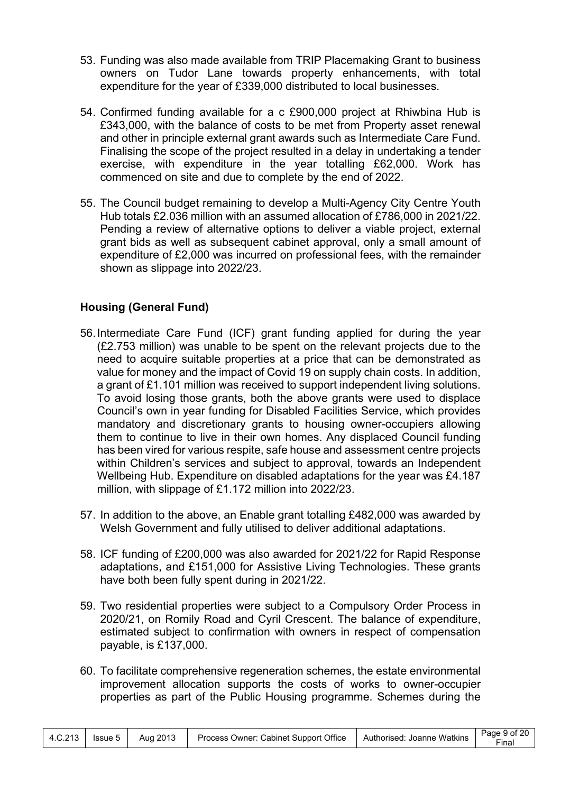- 53. Funding was also made available from TRIP Placemaking Grant to business owners on Tudor Lane towards property enhancements, with total expenditure for the year of £339,000 distributed to local businesses.
- 54. Confirmed funding available for a c £900,000 project at Rhiwbina Hub is £343,000, with the balance of costs to be met from Property asset renewal and other in principle external grant awards such as Intermediate Care Fund. Finalising the scope of the project resulted in a delay in undertaking a tender exercise, with expenditure in the year totalling £62,000. Work has commenced on site and due to complete by the end of 2022.
- 55. The Council budget remaining to develop a Multi-Agency City Centre Youth Hub totals £2.036 million with an assumed allocation of £786,000 in 2021/22. Pending a review of alternative options to deliver a viable project, external grant bids as well as subsequent cabinet approval, only a small amount of expenditure of £2,000 was incurred on professional fees, with the remainder shown as slippage into 2022/23.

# **Housing (General Fund)**

- 56.Intermediate Care Fund (ICF) grant funding applied for during the year (£2.753 million) was unable to be spent on the relevant projects due to the need to acquire suitable properties at a price that can be demonstrated as value for money and the impact of Covid 19 on supply chain costs. In addition, a grant of £1.101 million was received to support independent living solutions. To avoid losing those grants, both the above grants were used to displace Council's own in year funding for Disabled Facilities Service, which provides mandatory and discretionary grants to housing owner-occupiers allowing them to continue to live in their own homes. Any displaced Council funding has been vired for various respite, safe house and assessment centre projects within Children's services and subject to approval, towards an Independent Wellbeing Hub. Expenditure on disabled adaptations for the year was £4.187 million, with slippage of £1.172 million into 2022/23.
- 57. In addition to the above, an Enable grant totalling £482,000 was awarded by Welsh Government and fully utilised to deliver additional adaptations.
- 58. ICF funding of £200,000 was also awarded for 2021/22 for Rapid Response adaptations, and £151,000 for Assistive Living Technologies. These grants have both been fully spent during in 2021/22.
- 59. Two residential properties were subject to a Compulsory Order Process in 2020/21, on Romily Road and Cyril Crescent. The balance of expenditure, estimated subject to confirmation with owners in respect of compensation payable, is £137,000.
- 60. To facilitate comprehensive regeneration schemes, the estate environmental improvement allocation supports the costs of works to owner-occupier properties as part of the Public Housing programme. Schemes during the

|  |  | 4.C.213   Issue 5   Aug 2013 | <sup>1</sup> Process Owner: Cabinet Support Office   Authorised: Joanne Watkins |  | $\vert$ Page 9 of 20<br>Final |
|--|--|------------------------------|---------------------------------------------------------------------------------|--|-------------------------------|
|--|--|------------------------------|---------------------------------------------------------------------------------|--|-------------------------------|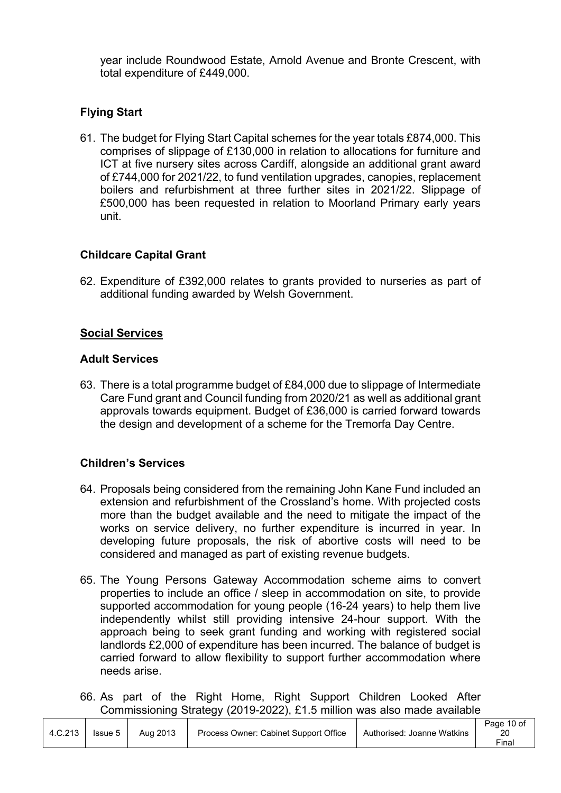year include Roundwood Estate, Arnold Avenue and Bronte Crescent, with total expenditure of £449,000.

# **Flying Start**

61. The budget for Flying Start Capital schemes for the year totals £874,000. This comprises of slippage of £130,000 in relation to allocations for furniture and ICT at five nursery sites across Cardiff, alongside an additional grant award of £744,000 for 2021/22, to fund ventilation upgrades, canopies, replacement boilers and refurbishment at three further sites in 2021/22. Slippage of £500,000 has been requested in relation to Moorland Primary early years unit.

# **Childcare Capital Grant**

62. Expenditure of £392,000 relates to grants provided to nurseries as part of additional funding awarded by Welsh Government.

# **Social Services**

### **Adult Services**

63. There is a total programme budget of £84,000 due to slippage of Intermediate Care Fund grant and Council funding from 2020/21 as well as additional grant approvals towards equipment. Budget of £36,000 is carried forward towards the design and development of a scheme for the Tremorfa Day Centre.

# **Children's Services**

- 64. Proposals being considered from the remaining John Kane Fund included an extension and refurbishment of the Crossland's home. With projected costs more than the budget available and the need to mitigate the impact of the works on service delivery, no further expenditure is incurred in year. In developing future proposals, the risk of abortive costs will need to be considered and managed as part of existing revenue budgets.
- 65. The Young Persons Gateway Accommodation scheme aims to convert properties to include an office / sleep in accommodation on site, to provide supported accommodation for young people (16-24 years) to help them live independently whilst still providing intensive 24-hour support. With the approach being to seek grant funding and working with registered social landlords £2,000 of expenditure has been incurred. The balance of budget is carried forward to allow flexibility to support further accommodation where needs arise.
- 66. As part of the Right Home, Right Support Children Looked After Commissioning Strategy (2019-2022), £1.5 million was also made available

|         |         |          |                                       |                            | Page 10 of |
|---------|---------|----------|---------------------------------------|----------------------------|------------|
| 4.C.213 | Issue 5 | Aug 2013 | Process Owner: Cabinet Support Office | Authorised: Joanne Watkins | 20         |
|         |         |          |                                       |                            | Final      |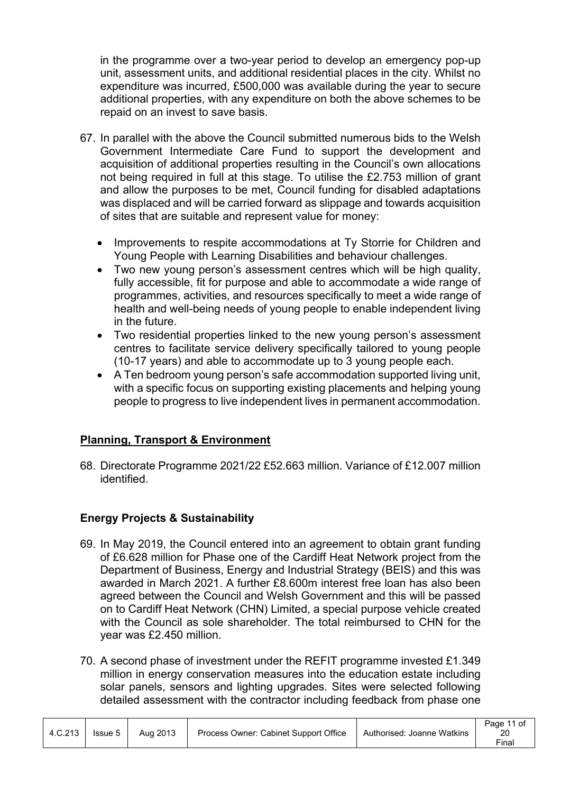in the programme over a two-year period to develop an emergency pop-up unit, assessment units, and additional residential places in the city. Whilst no expenditure was incurred, £500,000 was available during the year to secure additional properties, with any expenditure on both the above schemes to be repaid on an invest to save basis.

- 67. In parallel with the above the Council submitted numerous bids to the Welsh Government Intermediate Care Fund to support the development and acquisition of additional properties resulting in the Council's own allocations not being required in full at this stage. To utilise the £2.753 million of grant and allow the purposes to be met, Council funding for disabled adaptations was displaced and will be carried forward as slippage and towards acquisition of sites that are suitable and represent value for money:
	- Improvements to respite accommodations at Ty Storrie for Children and Young People with Learning Disabilities and behaviour challenges.
	- Two new young person's assessment centres which will be high quality, fully accessible, fit for purpose and able to accommodate a wide range of programmes, activities, and resources specifically to meet a wide range of health and well-being needs of young people to enable independent living in the future.
	- Two residential properties linked to the new young person's assessment centres to facilitate service delivery specifically tailored to young people (10-17 years) and able to accommodate up to 3 young people each.
	- A Ten bedroom young person's safe accommodation supported living unit, with a specific focus on supporting existing placements and helping young people to progress to live independent lives in permanent accommodation.

# **Planning, Transport & Environment**

68. Directorate Programme 2021/22 £52.663 million. Variance of £12.007 million identified.

# **Energy Projects & Sustainability**

Τ

- 69. In May 2019, the Council entered into an agreement to obtain grant funding of £6.628 million for Phase one of the Cardiff Heat Network project from the Department of Business, Energy and Industrial Strategy (BEIS) and this was awarded in March 2021. A further £8.600m interest free loan has also been agreed between the Council and Welsh Government and this will be passed on to Cardiff Heat Network (CHN) Limited, a special purpose vehicle created with the Council as sole shareholder. The total reimbursed to CHN for the year was £2.450 million.
- 70. A second phase of investment under the REFIT programme invested £1.349 million in energy conservation measures into the education estate including solar panels, sensors and lighting upgrades. Sites were selected following detailed assessment with the contractor including feedback from phase one

|         |         |          |                                       |                            | Page 11 of |
|---------|---------|----------|---------------------------------------|----------------------------|------------|
| 4.C.213 | Issue 5 | Aug 2013 | Process Owner: Cabinet Support Office | Authorised: Joanne Watkins | 20         |
|         |         |          |                                       |                            | Final      |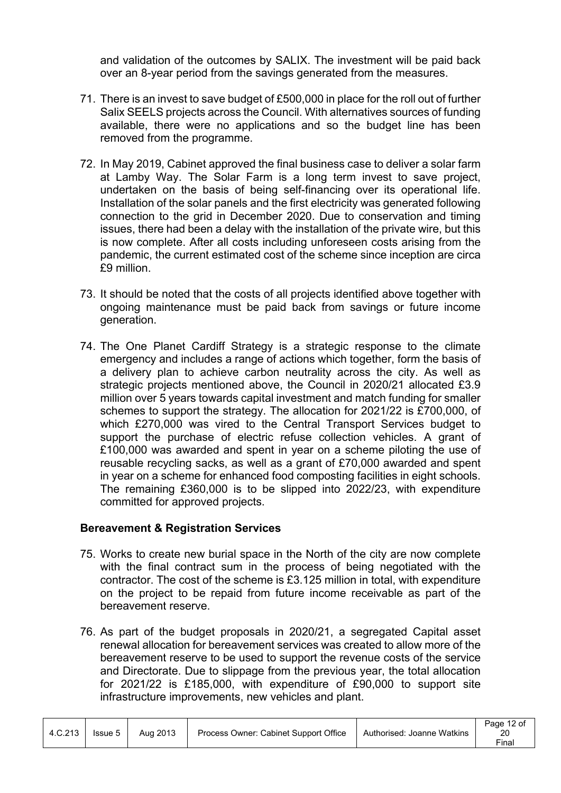and validation of the outcomes by SALIX. The investment will be paid back over an 8-year period from the savings generated from the measures.

- 71. There is an invest to save budget of £500,000 in place for the roll out of further Salix SEELS projects across the Council. With alternatives sources of funding available, there were no applications and so the budget line has been removed from the programme.
- 72. In May 2019, Cabinet approved the final business case to deliver a solar farm at Lamby Way. The Solar Farm is a long term invest to save project, undertaken on the basis of being self-financing over its operational life. Installation of the solar panels and the first electricity was generated following connection to the grid in December 2020. Due to conservation and timing issues, there had been a delay with the installation of the private wire, but this is now complete. After all costs including unforeseen costs arising from the pandemic, the current estimated cost of the scheme since inception are circa £9 million.
- 73. It should be noted that the costs of all projects identified above together with ongoing maintenance must be paid back from savings or future income generation.
- 74. The One Planet Cardiff Strategy is a strategic response to the climate emergency and includes a range of actions which together, form the basis of a delivery plan to achieve carbon neutrality across the city. As well as strategic projects mentioned above, the Council in 2020/21 allocated £3.9 million over 5 years towards capital investment and match funding for smaller schemes to support the strategy. The allocation for 2021/22 is £700,000, of which £270,000 was vired to the Central Transport Services budget to support the purchase of electric refuse collection vehicles. A grant of £100,000 was awarded and spent in year on a scheme piloting the use of reusable recycling sacks, as well as a grant of £70,000 awarded and spent in year on a scheme for enhanced food composting facilities in eight schools. The remaining £360,000 is to be slipped into 2022/23, with expenditure committed for approved projects.

# **Bereavement & Registration Services**

- 75. Works to create new burial space in the North of the city are now complete with the final contract sum in the process of being negotiated with the contractor. The cost of the scheme is £3.125 million in total, with expenditure on the project to be repaid from future income receivable as part of the bereavement reserve.
- 76. As part of the budget proposals in 2020/21, a segregated Capital asset renewal allocation for bereavement services was created to allow more of the bereavement reserve to be used to support the revenue costs of the service and Directorate. Due to slippage from the previous year, the total allocation for 2021/22 is £185,000, with expenditure of £90,000 to support site infrastructure improvements, new vehicles and plant.

|         |         |          |                                       |                            | Page 12 of |
|---------|---------|----------|---------------------------------------|----------------------------|------------|
| 4.C.213 | Issue 5 | Aug 2013 | Process Owner: Cabinet Support Office | Authorised: Joanne Watkins | 20         |
|         |         |          |                                       |                            | Final      |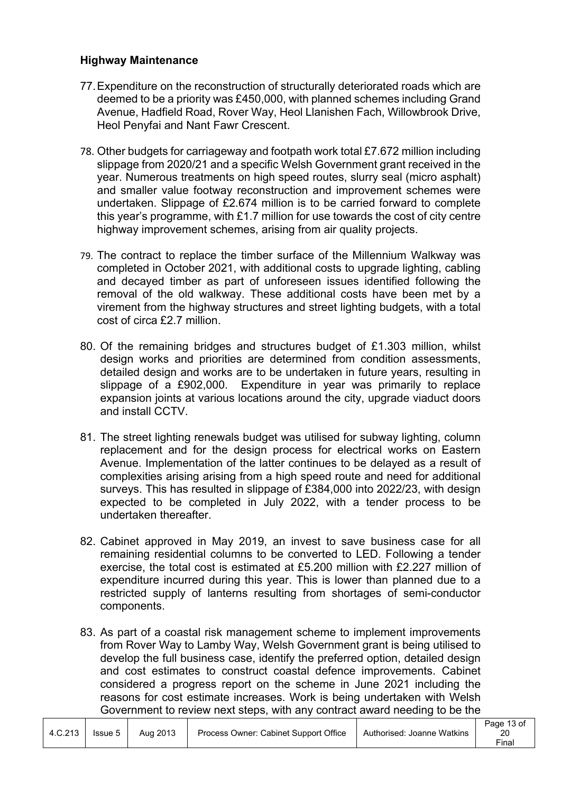# **Highway Maintenance**

- 77.Expenditure on the reconstruction of structurally deteriorated roads which are deemed to be a priority was £450,000, with planned schemes including Grand Avenue, Hadfield Road, Rover Way, Heol Llanishen Fach, Willowbrook Drive, Heol Penyfai and Nant Fawr Crescent.
- 78. Other budgets for carriageway and footpath work total £7.672 million including slippage from 2020/21 and a specific Welsh Government grant received in the year. Numerous treatments on high speed routes, slurry seal (micro asphalt) and smaller value footway reconstruction and improvement schemes were undertaken. Slippage of £2.674 million is to be carried forward to complete this year's programme, with £1.7 million for use towards the cost of city centre highway improvement schemes, arising from air quality projects.
- 79. The contract to replace the timber surface of the Millennium Walkway was completed in October 2021, with additional costs to upgrade lighting, cabling and decayed timber as part of unforeseen issues identified following the removal of the old walkway. These additional costs have been met by a virement from the highway structures and street lighting budgets, with a total cost of circa £2.7 million.
- 80. Of the remaining bridges and structures budget of £1.303 million, whilst design works and priorities are determined from condition assessments, detailed design and works are to be undertaken in future years, resulting in slippage of a £902,000. Expenditure in year was primarily to replace expansion joints at various locations around the city, upgrade viaduct doors and install CCTV.
- 81. The street lighting renewals budget was utilised for subway lighting, column replacement and for the design process for electrical works on Eastern Avenue. Implementation of the latter continues to be delayed as a result of complexities arising arising from a high speed route and need for additional surveys. This has resulted in slippage of £384,000 into 2022/23, with design expected to be completed in July 2022, with a tender process to be undertaken thereafter.
- 82. Cabinet approved in May 2019, an invest to save business case for all remaining residential columns to be converted to LED. Following a tender exercise, the total cost is estimated at £5.200 million with £2.227 million of expenditure incurred during this year. This is lower than planned due to a restricted supply of lanterns resulting from shortages of semi-conductor components.
- 83. As part of a coastal risk management scheme to implement improvements from Rover Way to Lamby Way, Welsh Government grant is being utilised to develop the full business case, identify the preferred option, detailed design and cost estimates to construct coastal defence improvements. Cabinet considered a progress report on the scheme in June 2021 including the reasons for cost estimate increases. Work is being undertaken with Welsh Government to review next steps, with any contract award needing to be the

|         |         |          |                                       |                            | Page 13 of |
|---------|---------|----------|---------------------------------------|----------------------------|------------|
| 4.C.213 | Issue 5 | Aug 2013 | Process Owner: Cabinet Support Office | Authorised: Joanne Watkins |            |
|         |         |          |                                       |                            | Final      |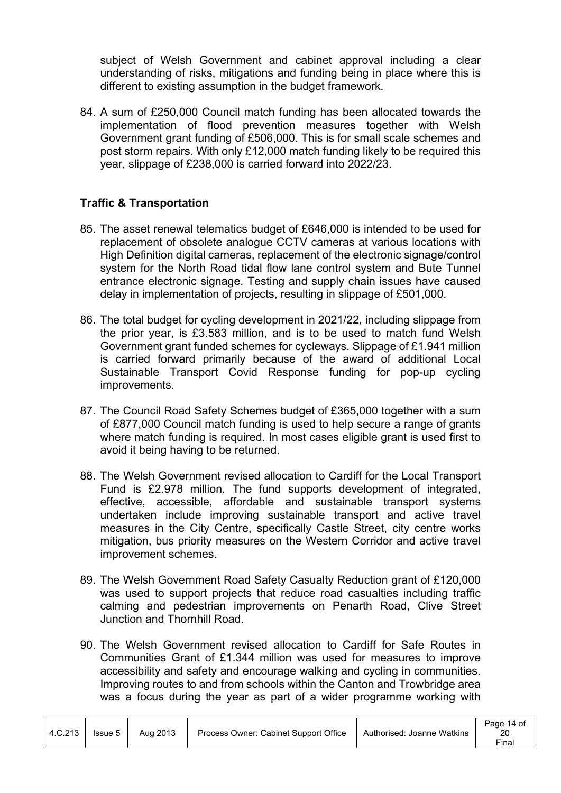subject of Welsh Government and cabinet approval including a clear understanding of risks, mitigations and funding being in place where this is different to existing assumption in the budget framework.

84. A sum of £250,000 Council match funding has been allocated towards the implementation of flood prevention measures together with Welsh Government grant funding of £506,000. This is for small scale schemes and post storm repairs. With only £12,000 match funding likely to be required this year, slippage of £238,000 is carried forward into 2022/23.

# **Traffic & Transportation**

- 85. The asset renewal telematics budget of £646,000 is intended to be used for replacement of obsolete analogue CCTV cameras at various locations with High Definition digital cameras, replacement of the electronic signage/control system for the North Road tidal flow lane control system and Bute Tunnel entrance electronic signage. Testing and supply chain issues have caused delay in implementation of projects, resulting in slippage of £501,000.
- 86. The total budget for cycling development in 2021/22, including slippage from the prior year, is £3.583 million, and is to be used to match fund Welsh Government grant funded schemes for cycleways. Slippage of £1.941 million is carried forward primarily because of the award of additional Local Sustainable Transport Covid Response funding for pop-up cycling improvements.
- 87. The Council Road Safety Schemes budget of £365,000 together with a sum of £877,000 Council match funding is used to help secure a range of grants where match funding is required. In most cases eligible grant is used first to avoid it being having to be returned.
- 88. The Welsh Government revised allocation to Cardiff for the Local Transport Fund is £2.978 million. The fund supports development of integrated, effective, accessible, affordable and sustainable transport systems undertaken include improving sustainable transport and active travel measures in the City Centre, specifically Castle Street, city centre works mitigation, bus priority measures on the Western Corridor and active travel improvement schemes.
- 89. The Welsh Government Road Safety Casualty Reduction grant of £120,000 was used to support projects that reduce road casualties including traffic calming and pedestrian improvements on Penarth Road, Clive Street Junction and Thornhill Road.
- 90. The Welsh Government revised allocation to Cardiff for Safe Routes in Communities Grant of £1.344 million was used for measures to improve accessibility and safety and encourage walking and cycling in communities. Improving routes to and from schools within the Canton and Trowbridge area was a focus during the year as part of a wider programme working with

|         |         |          |                                       |                            | Page 14 of |
|---------|---------|----------|---------------------------------------|----------------------------|------------|
| 4.C.213 | Issue 5 | Aug 2013 | Process Owner: Cabinet Support Office | Authorised: Joanne Watkins | 20         |
|         |         |          |                                       |                            | Final      |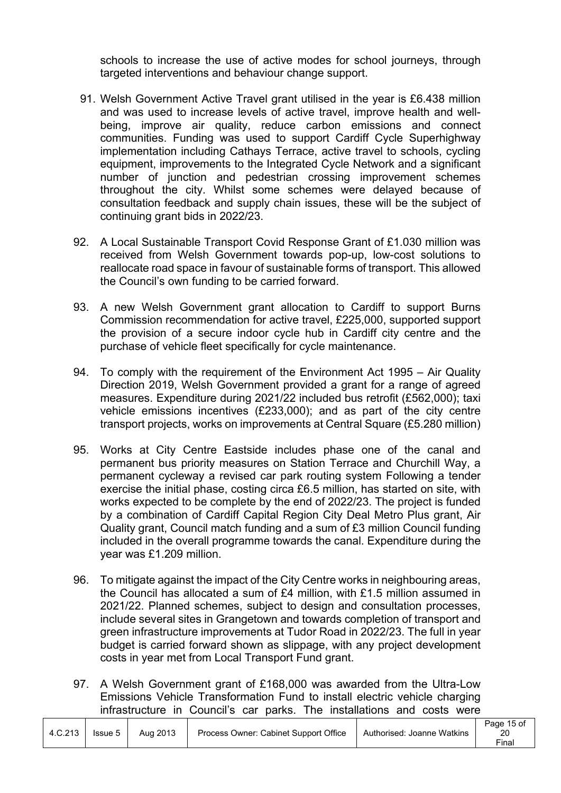schools to increase the use of active modes for school journeys, through targeted interventions and behaviour change support.

- 91. Welsh Government Active Travel grant utilised in the year is £6.438 million and was used to increase levels of active travel, improve health and wellbeing, improve air quality, reduce carbon emissions and connect communities. Funding was used to support Cardiff Cycle Superhighway implementation including Cathays Terrace, active travel to schools, cycling equipment, improvements to the Integrated Cycle Network and a significant number of junction and pedestrian crossing improvement schemes throughout the city. Whilst some schemes were delayed because of consultation feedback and supply chain issues, these will be the subject of continuing grant bids in 2022/23.
- 92. A Local Sustainable Transport Covid Response Grant of £1.030 million was received from Welsh Government towards pop-up, low-cost solutions to reallocate road space in favour of sustainable forms of transport. This allowed the Council's own funding to be carried forward.
- 93. A new Welsh Government grant allocation to Cardiff to support Burns Commission recommendation for active travel, £225,000, supported support the provision of a secure indoor cycle hub in Cardiff city centre and the purchase of vehicle fleet specifically for cycle maintenance.
- 94. To comply with the requirement of the Environment Act 1995 Air Quality Direction 2019, Welsh Government provided a grant for a range of agreed measures. Expenditure during 2021/22 included bus retrofit (£562,000); taxi vehicle emissions incentives (£233,000); and as part of the city centre transport projects, works on improvements at Central Square (£5.280 million)
- 95. Works at City Centre Eastside includes phase one of the canal and permanent bus priority measures on Station Terrace and Churchill Way, a permanent cycleway a revised car park routing system Following a tender exercise the initial phase, costing circa £6.5 million, has started on site, with works expected to be complete by the end of 2022/23. The project is funded by a combination of Cardiff Capital Region City Deal Metro Plus grant, Air Quality grant, Council match funding and a sum of £3 million Council funding included in the overall programme towards the canal. Expenditure during the year was £1.209 million.
- 96. To mitigate against the impact of the City Centre works in neighbouring areas, the Council has allocated a sum of £4 million, with £1.5 million assumed in 2021/22. Planned schemes, subject to design and consultation processes, include several sites in Grangetown and towards completion of transport and green infrastructure improvements at Tudor Road in 2022/23. The full in year budget is carried forward shown as slippage, with any project development costs in year met from Local Transport Fund grant.
- 97. A Welsh Government grant of £168,000 was awarded from the Ultra-Low Emissions Vehicle Transformation Fund to install electric vehicle charging infrastructure in Council's car parks. The installations and costs were

|         |         |          |                                       |                            | Page 15 of |
|---------|---------|----------|---------------------------------------|----------------------------|------------|
| 4.C.213 | Issue 5 | Aug 2013 | Process Owner: Cabinet Support Office | Authorised: Joanne Watkins | 20         |
|         |         |          |                                       |                            | Final      |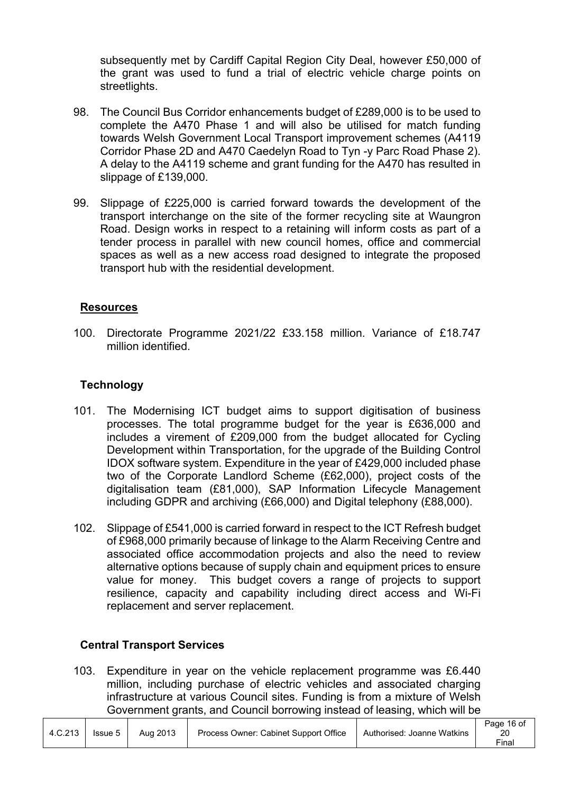subsequently met by Cardiff Capital Region City Deal, however £50,000 of the grant was used to fund a trial of electric vehicle charge points on streetlights.

- 98. The Council Bus Corridor enhancements budget of £289,000 is to be used to complete the A470 Phase 1 and will also be utilised for match funding towards Welsh Government Local Transport improvement schemes (A4119 Corridor Phase 2D and A470 Caedelyn Road to Tyn -y Parc Road Phase 2). A delay to the A4119 scheme and grant funding for the A470 has resulted in slippage of £139,000.
- 99. Slippage of £225,000 is carried forward towards the development of the transport interchange on the site of the former recycling site at Waungron Road. Design works in respect to a retaining will inform costs as part of a tender process in parallel with new council homes, office and commercial spaces as well as a new access road designed to integrate the proposed transport hub with the residential development.

# **Resources**

100. Directorate Programme 2021/22 £33.158 million. Variance of £18.747 million identified.

# **Technology**

- 101. The Modernising ICT budget aims to support digitisation of business processes. The total programme budget for the year is £636,000 and includes a virement of £209,000 from the budget allocated for Cycling Development within Transportation, for the upgrade of the Building Control IDOX software system. Expenditure in the year of £429,000 included phase two of the Corporate Landlord Scheme (£62,000), project costs of the digitalisation team (£81,000), SAP Information Lifecycle Management including GDPR and archiving (£66,000) and Digital telephony (£88,000).
- 102. Slippage of £541,000 is carried forward in respect to the ICT Refresh budget of £968,000 primarily because of linkage to the Alarm Receiving Centre and associated office accommodation projects and also the need to review alternative options because of supply chain and equipment prices to ensure value for money. This budget covers a range of projects to support resilience, capacity and capability including direct access and Wi-Fi replacement and server replacement.

# **Central Transport Services**

103. Expenditure in year on the vehicle replacement programme was £6.440 million, including purchase of electric vehicles and associated charging infrastructure at various Council sites. Funding is from a mixture of Welsh Government grants, and Council borrowing instead of leasing, which will be

|         |         |          |                                       |                            | Page 16 of |
|---------|---------|----------|---------------------------------------|----------------------------|------------|
| 4.C.213 | Issue 5 | Aug 2013 | Process Owner: Cabinet Support Office | Authorised: Joanne Watkins |            |
|         |         |          |                                       |                            | Final      |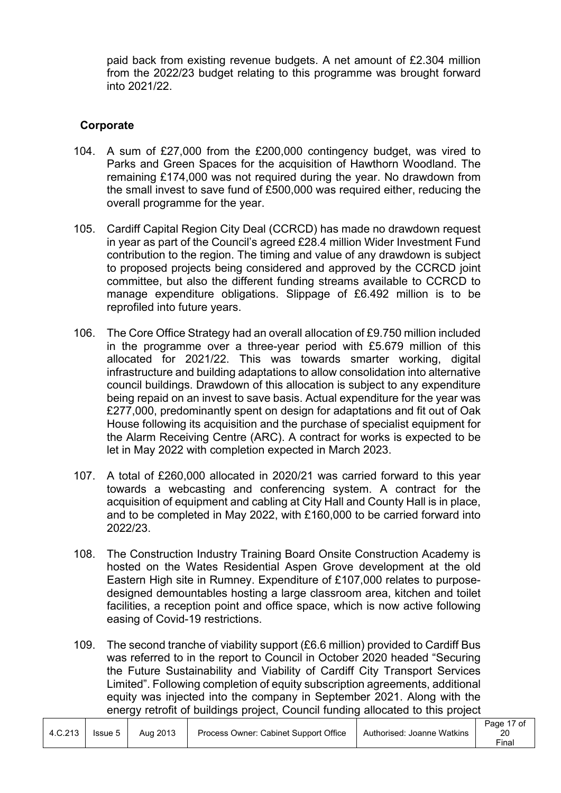paid back from existing revenue budgets. A net amount of £2.304 million from the 2022/23 budget relating to this programme was brought forward into 2021/22.

# **Corporate**

- 104. A sum of £27,000 from the £200,000 contingency budget, was vired to Parks and Green Spaces for the acquisition of Hawthorn Woodland. The remaining £174,000 was not required during the year. No drawdown from the small invest to save fund of £500,000 was required either, reducing the overall programme for the year.
- 105. Cardiff Capital Region City Deal (CCRCD) has made no drawdown request in year as part of the Council's agreed £28.4 million Wider Investment Fund contribution to the region. The timing and value of any drawdown is subject to proposed projects being considered and approved by the CCRCD joint committee, but also the different funding streams available to CCRCD to manage expenditure obligations. Slippage of £6.492 million is to be reprofiled into future years.
- 106. The Core Office Strategy had an overall allocation of £9.750 million included in the programme over a three-year period with £5.679 million of this allocated for 2021/22. This was towards smarter working, digital infrastructure and building adaptations to allow consolidation into alternative council buildings. Drawdown of this allocation is subject to any expenditure being repaid on an invest to save basis. Actual expenditure for the year was £277,000, predominantly spent on design for adaptations and fit out of Oak House following its acquisition and the purchase of specialist equipment for the Alarm Receiving Centre (ARC). A contract for works is expected to be let in May 2022 with completion expected in March 2023.
- 107. A total of £260,000 allocated in 2020/21 was carried forward to this year towards a webcasting and conferencing system. A contract for the acquisition of equipment and cabling at City Hall and County Hall is in place, and to be completed in May 2022, with £160,000 to be carried forward into 2022/23.
- 108. The Construction Industry Training Board Onsite Construction Academy is hosted on the Wates Residential Aspen Grove development at the old Eastern High site in Rumney. Expenditure of £107,000 relates to purposedesigned demountables hosting a large classroom area, kitchen and toilet facilities, a reception point and office space, which is now active following easing of Covid-19 restrictions.

109. The second tranche of viability support (£6.6 million) provided to Cardiff Bus was referred to in the report to Council in October 2020 headed "Securing the Future Sustainability and Viability of Cardiff City Transport Services Limited". Following completion of equity subscription agreements, additional equity was injected into the company in September 2021. Along with the energy retrofit of buildings project, Council funding allocated to this project

|         |         |          |                                       |                            | Page 17 of |
|---------|---------|----------|---------------------------------------|----------------------------|------------|
| 4.C.213 | Issue 5 | Aug 2013 | Process Owner: Cabinet Support Office | Authorised: Joanne Watkins |            |
|         |         |          |                                       |                            | $r$ inal   |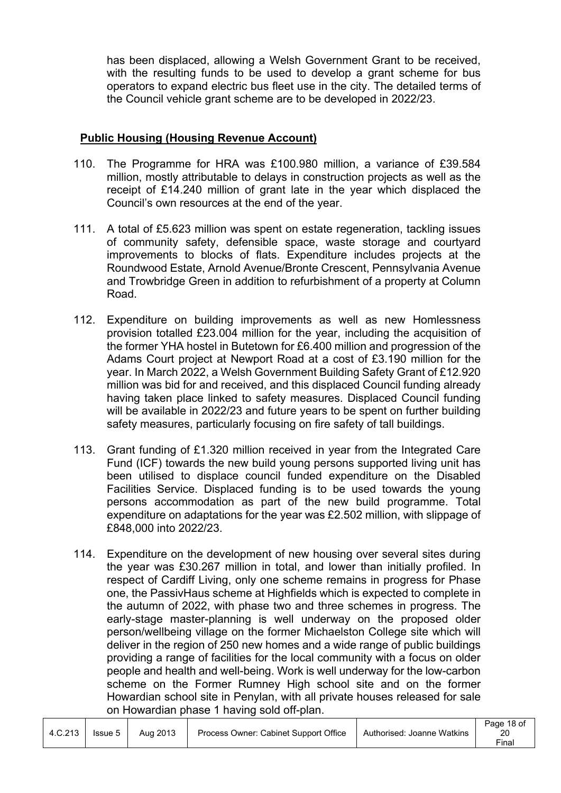has been displaced, allowing a Welsh Government Grant to be received, with the resulting funds to be used to develop a grant scheme for bus operators to expand electric bus fleet use in the city. The detailed terms of the Council vehicle grant scheme are to be developed in 2022/23.

# **Public Housing (Housing Revenue Account)**

- 110. The Programme for HRA was £100.980 million, a variance of £39.584 million, mostly attributable to delays in construction projects as well as the receipt of £14.240 million of grant late in the year which displaced the Council's own resources at the end of the year.
- 111. A total of £5.623 million was spent on estate regeneration, tackling issues of community safety, defensible space, waste storage and courtyard improvements to blocks of flats. Expenditure includes projects at the Roundwood Estate, Arnold Avenue/Bronte Crescent, Pennsylvania Avenue and Trowbridge Green in addition to refurbishment of a property at Column Road.
- 112. Expenditure on building improvements as well as new Homlessness provision totalled £23.004 million for the year, including the acquisition of the former YHA hostel in Butetown for £6.400 million and progression of the Adams Court project at Newport Road at a cost of £3.190 million for the year. In March 2022, a Welsh Government Building Safety Grant of £12.920 million was bid for and received, and this displaced Council funding already having taken place linked to safety measures. Displaced Council funding will be available in 2022/23 and future years to be spent on further building safety measures, particularly focusing on fire safety of tall buildings.
- 113. Grant funding of £1.320 million received in year from the Integrated Care Fund (ICF) towards the new build young persons supported living unit has been utilised to displace council funded expenditure on the Disabled Facilities Service. Displaced funding is to be used towards the young persons accommodation as part of the new build programme. Total expenditure on adaptations for the year was £2.502 million, with slippage of £848,000 into 2022/23.
- 114. Expenditure on the development of new housing over several sites during the year was £30.267 million in total, and lower than initially profiled. In respect of Cardiff Living, only one scheme remains in progress for Phase one, the PassivHaus scheme at Highfields which is expected to complete in the autumn of 2022, with phase two and three schemes in progress. The early-stage master-planning is well underway on the proposed older person/wellbeing village on the former Michaelston College site which will deliver in the region of 250 new homes and a wide range of public buildings providing a range of facilities for the local community with a focus on older people and health and well-being. Work is well underway for the low-carbon scheme on the Former Rumney High school site and on the former Howardian school site in Penylan, with all private houses released for sale on Howardian phase 1 having sold off-plan.

|         |         |          |                                       |                            | Page 18 of        |
|---------|---------|----------|---------------------------------------|----------------------------|-------------------|
| 4.C.213 | Issue 5 | Aug 2013 | Process Owner: Cabinet Support Office | Authorised: Joanne Watkins | 20                |
|         |         |          |                                       |                            | <sup>≂</sup> inal |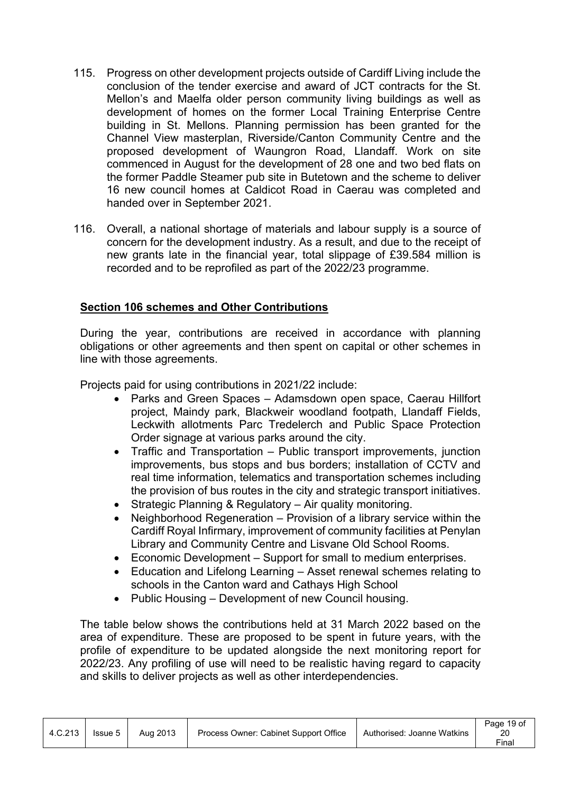- 115. Progress on other development projects outside of Cardiff Living include the conclusion of the tender exercise and award of JCT contracts for the St. Mellon's and Maelfa older person community living buildings as well as development of homes on the former Local Training Enterprise Centre building in St. Mellons. Planning permission has been granted for the Channel View masterplan, Riverside/Canton Community Centre and the proposed development of Waungron Road, Llandaff. Work on site commenced in August for the development of 28 one and two bed flats on the former Paddle Steamer pub site in Butetown and the scheme to deliver 16 new council homes at Caldicot Road in Caerau was completed and handed over in September 2021.
- 116. Overall, a national shortage of materials and labour supply is a source of concern for the development industry. As a result, and due to the receipt of new grants late in the financial year, total slippage of £39.584 million is recorded and to be reprofiled as part of the 2022/23 programme.

# **Section 106 schemes and Other Contributions**

During the year, contributions are received in accordance with planning obligations or other agreements and then spent on capital or other schemes in line with those agreements.

Projects paid for using contributions in 2021/22 include:

- Parks and Green Spaces Adamsdown open space, Caerau Hillfort project, Maindy park, Blackweir woodland footpath, Llandaff Fields, Leckwith allotments Parc Tredelerch and Public Space Protection Order signage at various parks around the city.
- Traffic and Transportation Public transport improvements, junction improvements, bus stops and bus borders; installation of CCTV and real time information, telematics and transportation schemes including the provision of bus routes in the city and strategic transport initiatives.
- Strategic Planning & Regulatory Air quality monitoring.
- Neighborhood Regeneration Provision of a library service within the Cardiff Royal Infirmary, improvement of community facilities at Penylan Library and Community Centre and Lisvane Old School Rooms.
- Economic Development Support for small to medium enterprises.
- Education and Lifelong Learning Asset renewal schemes relating to schools in the Canton ward and Cathays High School
- Public Housing Development of new Council housing.

The table below shows the contributions held at 31 March 2022 based on the area of expenditure. These are proposed to be spent in future years, with the profile of expenditure to be updated alongside the next monitoring report for 2022/23. Any profiling of use will need to be realistic having regard to capacity and skills to deliver projects as well as other interdependencies.